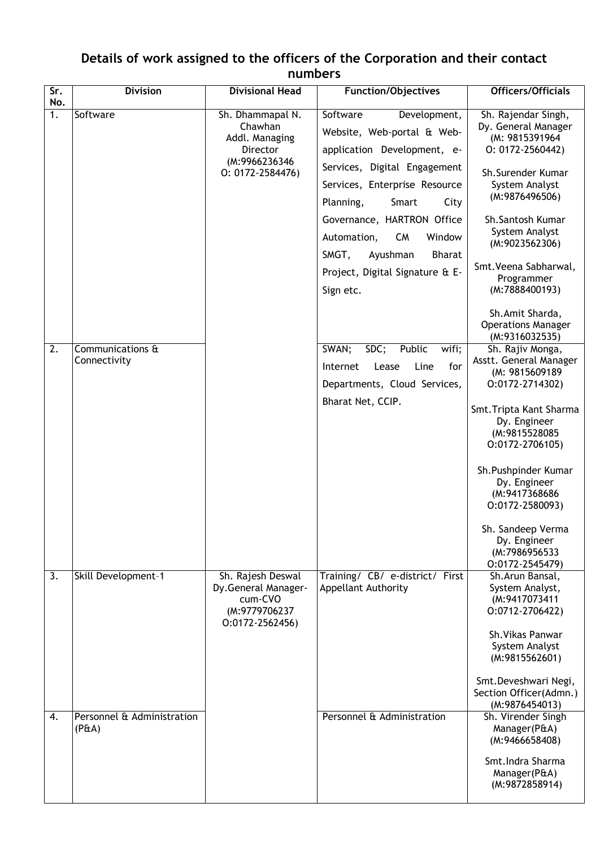## **Details of work assigned to the officers of the Corporation and their contact numbers**

| $\overline{\text{Sr.}}$<br>No. | <b>Division</b>                     | <b>Divisional Head</b>                                                                            | <b>Function/Objectives</b>                                                                                                                                                           | Officers/Officials                                                                                                                                                                                                                |
|--------------------------------|-------------------------------------|---------------------------------------------------------------------------------------------------|--------------------------------------------------------------------------------------------------------------------------------------------------------------------------------------|-----------------------------------------------------------------------------------------------------------------------------------------------------------------------------------------------------------------------------------|
| 1.                             | Software                            | Sh. Dhammapal N.<br>Chawhan<br>Addl. Managing<br>Director<br>(M:9966236346<br>$0: 0172 - 2584476$ | Software<br>Development,<br>Website, Web-portal & Web-<br>application Development, e-<br>Services, Digital Engagement<br>Services, Enterprise Resource<br>Planning,<br>Smart<br>City | Sh. Rajendar Singh,<br>Dy. General Manager<br>(M: 9815391964<br>$0: 0172 - 2560442$<br>Sh.Surender Kumar<br>System Analyst<br>(M:9876496506)                                                                                      |
|                                |                                     |                                                                                                   | Governance, HARTRON Office<br><b>CM</b><br>Window<br>Automation,<br>SMGT,<br>Ayushman<br><b>Bharat</b><br>Project, Digital Signature & E-<br>Sign etc.                               | Sh.Santosh Kumar<br>System Analyst<br>(M:9023562306)<br>Smt. Veena Sabharwal,<br>Programmer<br>(M:7888400193)<br>Sh.Amit Sharda,                                                                                                  |
|                                |                                     |                                                                                                   |                                                                                                                                                                                      | <b>Operations Manager</b><br>(M:9316032535)                                                                                                                                                                                       |
| 2.                             | Communications &<br>Connectivity    |                                                                                                   | SWAN;<br>SDC;<br>Public<br>wifi;<br>for<br>Internet<br>Lease<br>Line<br>Departments, Cloud Services,                                                                                 | Sh. Rajiv Monga,<br>Asstt. General Manager<br>(M: 9815609189<br>0:0172-2714302)                                                                                                                                                   |
|                                |                                     |                                                                                                   | Bharat Net, CCIP.                                                                                                                                                                    | Smt. Tripta Kant Sharma<br>Dy. Engineer<br>(M:9815528085<br>$0:0172-2706105$<br>Sh. Pushpinder Kumar<br>Dy. Engineer<br>(M:9417368686<br>0:0172-2580093)<br>Sh. Sandeep Verma<br>Dy. Engineer<br>(M:7986956533<br>0:0172-2545479) |
| $\overline{3}$ .               | Skill Development-1                 | Sh. Rajesh Deswal<br>Dy.General Manager-<br>cum-CVO<br>(M:9779706237<br>$0:0172-2562456$          | Training/ CB/ e-district/ First<br>Appellant Authority                                                                                                                               | Sh.Arun Bansal,<br>System Analyst,<br>(M:9417073411<br>0:0712-2706422)<br>Sh. Vikas Panwar<br>System Analyst<br>(M:9815562601)<br>Smt.Deveshwari Negi,<br>Section Officer(Admn.)<br>(M:9876454013)                                |
| 4.                             | Personnel & Administration<br>(PEA) |                                                                                                   | Personnel & Administration                                                                                                                                                           | Sh. Virender Singh<br>Manager(P&A)<br>(M:9466658408)<br>Smt. Indra Sharma<br>Manager(P&A)<br>(M:9872858914)                                                                                                                       |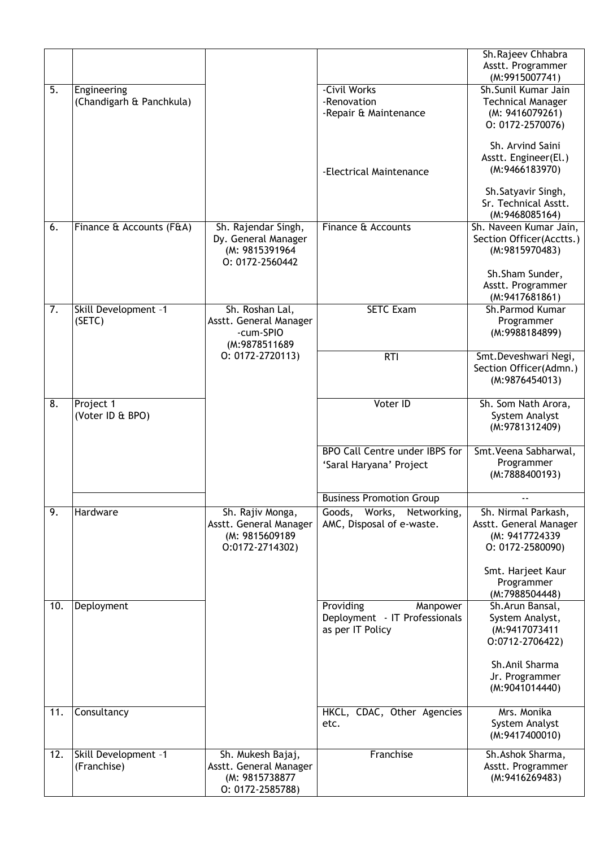|     |                          |                                       |                                                              | Sh.Rajeev Chhabra                          |
|-----|--------------------------|---------------------------------------|--------------------------------------------------------------|--------------------------------------------|
|     |                          |                                       |                                                              | Asstt. Programmer<br>(M:9915007741)        |
| 5.  | Engineering              |                                       | -Civil Works                                                 | Sh.Sunil Kumar Jain                        |
|     | (Chandigarh & Panchkula) |                                       | -Renovation                                                  | <b>Technical Manager</b>                   |
|     |                          |                                       | -Repair & Maintenance                                        | (M: 9416079261)                            |
|     |                          |                                       |                                                              | $0: 0172 - 2570076$                        |
|     |                          |                                       |                                                              | Sh. Arvind Saini                           |
|     |                          |                                       |                                                              | Asstt. Engineer(El.)                       |
|     |                          |                                       | -Electrical Maintenance                                      | (M:9466183970)                             |
|     |                          |                                       |                                                              | Sh.Satyavir Singh,                         |
|     |                          |                                       |                                                              | Sr. Technical Asstt.                       |
|     |                          |                                       |                                                              | (M:9468085164)                             |
| 6.  | Finance & Accounts (F&A) | Sh. Rajendar Singh,                   | Finance & Accounts                                           | Sh. Naveen Kumar Jain,                     |
|     |                          | Dy. General Manager<br>(M: 9815391964 |                                                              | Section Officer(Acctts.)<br>(M:9815970483) |
|     |                          | 0: 0172-2560442                       |                                                              |                                            |
|     |                          |                                       |                                                              | Sh.Sham Sunder,                            |
|     |                          |                                       |                                                              | Asstt. Programmer                          |
|     |                          |                                       |                                                              | (M:9417681861)                             |
| 7.  | Skill Development -1     | Sh. Roshan Lal,                       | <b>SETC Exam</b>                                             | Sh.Parmod Kumar                            |
|     | (SETC)                   | Asstt. General Manager<br>-cum-SPIO   |                                                              | Programmer<br>(M:9988184899)               |
|     |                          | (M:9878511689                         |                                                              |                                            |
|     |                          | $0: 0172 - 2720113$                   | RTI                                                          | Smt.Deveshwari Negi,                       |
|     |                          |                                       |                                                              | Section Officer(Admn.)                     |
|     |                          |                                       |                                                              | (M:9876454013)                             |
| 8.  | Project 1                |                                       | Voter ID                                                     | Sh. Som Nath Arora,                        |
|     | (Voter ID & BPO)         |                                       |                                                              | System Analyst                             |
|     |                          |                                       |                                                              | (M:9781312409)                             |
|     |                          |                                       |                                                              |                                            |
|     |                          |                                       | <b>BPO Call Centre under IBPS for</b>                        | Smt. Veena Sabharwal,                      |
|     |                          |                                       | 'Saral Haryana' Project                                      | Programmer<br>(M:7888400193)               |
|     |                          |                                       |                                                              |                                            |
| 9.  | Hardware                 | Sh. Rajiv Monga,                      | <b>Business Promotion Group</b><br>Goods, Works, Networking, | Sh. Nirmal Parkash,                        |
|     |                          | Asstt. General Manager                | AMC, Disposal of e-waste.                                    | Asstt. General Manager                     |
|     |                          | (M: 9815609189)                       |                                                              | (M: 9417724339                             |
|     |                          | 0:0172-2714302)                       |                                                              | O: 0172-2580090)                           |
|     |                          |                                       |                                                              |                                            |
|     |                          |                                       |                                                              | Smt. Harjeet Kaur<br>Programmer            |
|     |                          |                                       |                                                              | (M:7988504448)                             |
| 10. | Deployment               |                                       | Providing<br>Manpower                                        | Sh.Arun Bansal,                            |
|     |                          |                                       | Deployment - IT Professionals                                | System Analyst,                            |
|     |                          |                                       | as per IT Policy                                             | (M:9417073411<br>0:0712-2706422)           |
|     |                          |                                       |                                                              |                                            |
|     |                          |                                       |                                                              | Sh.Anil Sharma                             |
|     |                          |                                       |                                                              | Jr. Programmer                             |
|     |                          |                                       |                                                              | (M:9041014440)                             |
| 11. | Consultancy              |                                       | HKCL, CDAC, Other Agencies                                   | Mrs. Monika                                |
|     |                          |                                       | etc.                                                         | System Analyst                             |
|     |                          |                                       |                                                              | (M:9417400010)                             |
| 12. | Skill Development -1     | Sh. Mukesh Bajaj,                     | Franchise                                                    | Sh.Ashok Sharma,                           |
|     | (Franchise)              | Asstt. General Manager                |                                                              | Asstt. Programmer                          |
|     |                          | (M: 9815738877                        |                                                              | (M:9416269483)                             |
|     |                          | O: 0172-2585788)                      |                                                              |                                            |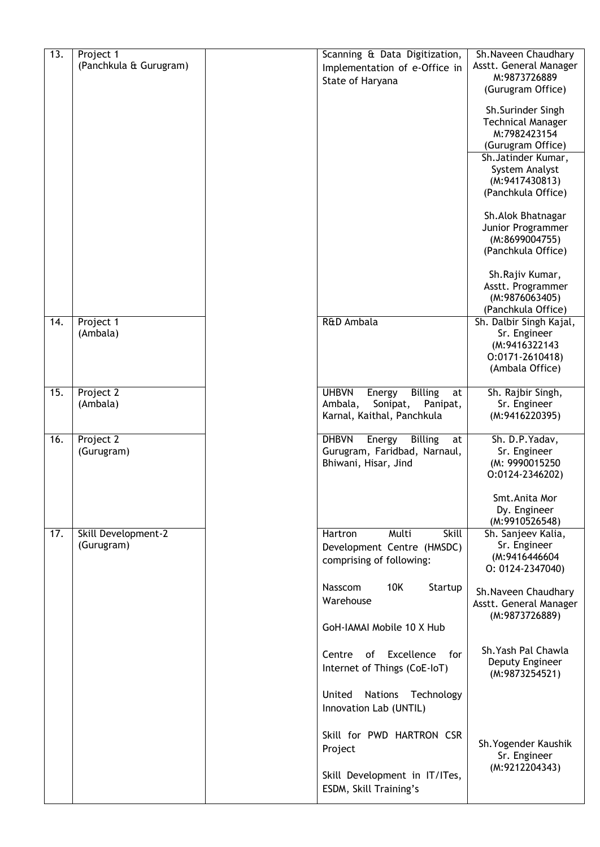| $\overline{13}$ . | Project 1<br>(Panchkula & Gurugram) | Scanning & Data Digitization,<br>Implementation of e-Office in | Sh.Naveen Chaudhary<br>Asstt. General Manager |
|-------------------|-------------------------------------|----------------------------------------------------------------|-----------------------------------------------|
|                   |                                     | State of Haryana                                               | M:9873726889<br>(Gurugram Office)             |
|                   |                                     |                                                                | Sh.Surinder Singh                             |
|                   |                                     |                                                                | <b>Technical Manager</b><br>M:7982423154      |
|                   |                                     |                                                                | (Gurugram Office)                             |
|                   |                                     |                                                                | Sh. Jatinder Kumar,<br>System Analyst         |
|                   |                                     |                                                                | (M:9417430813)                                |
|                   |                                     |                                                                | (Panchkula Office)                            |
|                   |                                     |                                                                | Sh. Alok Bhatnagar                            |
|                   |                                     |                                                                | Junior Programmer<br>(M:8699004755)           |
|                   |                                     |                                                                | (Panchkula Office)                            |
|                   |                                     |                                                                | Sh.Rajiv Kumar,                               |
|                   |                                     |                                                                | Asstt. Programmer<br>(M:9876063405)           |
|                   |                                     |                                                                | (Panchkula Office)                            |
| 14.               | Project 1<br>(Ambala)               | R&D Ambala                                                     | Sh. Dalbir Singh Kajal,<br>Sr. Engineer       |
|                   |                                     |                                                                | (M:9416322143                                 |
|                   |                                     |                                                                | $0:0171-2610418$<br>(Ambala Office)           |
| 15.               | Project 2                           | <b>Billing</b><br><b>UHBVN</b><br>Energy<br>at                 | Sh. Rajbir Singh,                             |
|                   | (Ambala)                            | Ambala,<br>Sonipat,<br>Panipat,                                | Sr. Engineer                                  |
|                   |                                     | Karnal, Kaithal, Panchkula                                     | (M:9416220395)                                |
| 16.               | Project 2                           | <b>Billing</b><br><b>DHBVN</b><br>Energy<br>at                 | Sh. D.P. Yadav,                               |
|                   | (Gurugram)                          | Gurugram, Faridbad, Narnaul,<br>Bhiwani, Hisar, Jind           | Sr. Engineer<br>(M: 9990015250                |
|                   |                                     |                                                                | 0:0124-2346202)                               |
|                   |                                     |                                                                | Smt.Anita Mor                                 |
|                   |                                     |                                                                | Dy. Engineer<br>(M:9910526548)                |
| 17.               | Skill Development-2<br>(Gurugram)   | Multi<br>Hartron<br>Skill                                      | Sh. Sanjeev Kalia,<br>Sr. Engineer            |
|                   |                                     | Development Centre (HMSDC)<br>comprising of following:         | (M:9416446604                                 |
|                   |                                     |                                                                | $0: 0124 - 2347040$                           |
|                   |                                     | 10K<br>Nasscom<br>Startup<br>Warehouse                         | Sh.Naveen Chaudhary                           |
|                   |                                     |                                                                | Asstt. General Manager<br>(M:9873726889)      |
|                   |                                     | GoH-IAMAI Mobile 10 X Hub                                      |                                               |
|                   |                                     | of Excellence<br>Centre<br>for                                 | Sh. Yash Pal Chawla                           |
|                   |                                     | Internet of Things (CoE-IoT)                                   | Deputy Engineer<br>(M:9873254521)             |
|                   |                                     | United<br><b>Nations</b><br>Technology                         |                                               |
|                   |                                     | Innovation Lab (UNTIL)                                         |                                               |
|                   |                                     | Skill for PWD HARTRON CSR                                      |                                               |
|                   |                                     | Project                                                        | Sh. Yogender Kaushik<br>Sr. Engineer          |
|                   |                                     | Skill Development in IT/ITes,                                  | (M:9212204343)                                |
|                   |                                     | ESDM, Skill Training's                                         |                                               |
|                   |                                     |                                                                |                                               |